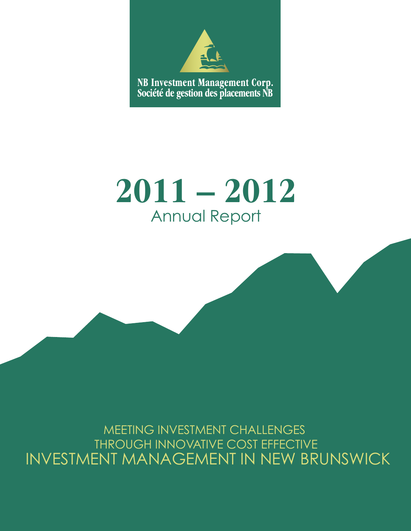

# **2011 – 2012** Annual Report

MEETING INVESTMENT CHALLENGES THROUGH INNOVATIVE COST EFFECTIVE INVESTMENT MANAGEMENT IN NEW BRUNSWICK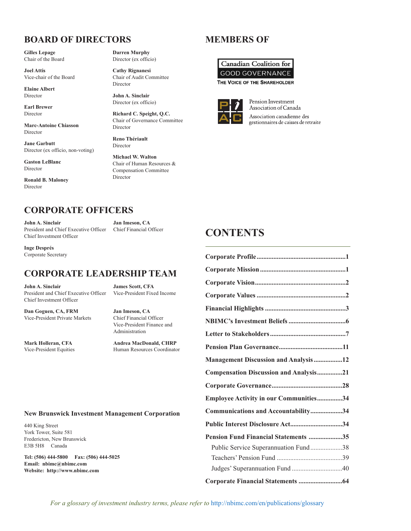### **BOARD OF DIRECTORS**

**Gilles Lepage** Chair of the Board

**Joel Attis** Vice-chair of the Board

**Elaine Albert** Director

**Earl Brewer** Director

**Marc-Antoine Chiasson** Director

**Jane Garbutt** Director (ex officio, non-voting)

**Gaston LeBlanc** Director

**Ronald B. Maloney** Director

**Darren Murphy** Director (ex officio)

**Cathy Rignanesi** Chair of Audit Committee Director

**John A. Sinclair** Director (ex officio)

**Richard C. Speight, Q.C.** Chair of Governance Committee Director

**Reno Thériault** Director

**Michael W. Walton** Chair of Human Resources & Compensation Committee Director

### **MEMBERS OF**





**CONTENTS**

Pension Investment Association of Canada Association canadienne des gestionnaires de caisses de retraite

### **CORPORATE OFFICERS**

**John A. Sinclair Jan Imeson, CA** President and Chief Executive Officer Chief Financial Officer Chief Investment Officer

**Inge Després** Corporate Secretary

### **CORPORATE LEADERSHIP TEAM**

**John A. Sinclair James Scott, CFA** President and Chief Executive Officer Vice-President Fixed Income Chief Investment Officer

**Dan Goguen, CA, FRM Jan Imeson, CA** Vice-President Private Markets Chief Financial Officer

Vice-President Finance and Administration

**Mark Holleran, CFA Andrea MacDonald, CHRP** Vice-President Equities Human Resources Coordinator

#### **New Brunswick Investment Management Corporation**

440 King Street York Tower, Suite 581 Fredericton, New Brunswick E3B 5H8 Canada

**Tel: (506) 444-5800 Fax: (506) 444-5025 Email: nbimc@nbimc.com Website: http://www.nbimc.com**

| <b>Management Discussion and Analysis12</b> |  |
|---------------------------------------------|--|
| Compensation Discussion and Analysis21      |  |
|                                             |  |
| Employee Activity in our Communities34      |  |
| Communications and Accountability34         |  |
| Public Interest Disclosure Act34            |  |
| Pension Fund Financial Statements 35        |  |
| Public Service Superannuation Fund38        |  |
|                                             |  |
| Judges' Superannuation Fund 40              |  |
|                                             |  |

**Corporate Profile.....................................................1**

*For a glossary of investment industry terms, please refer to* http://nbimc.com/en/publications/glossary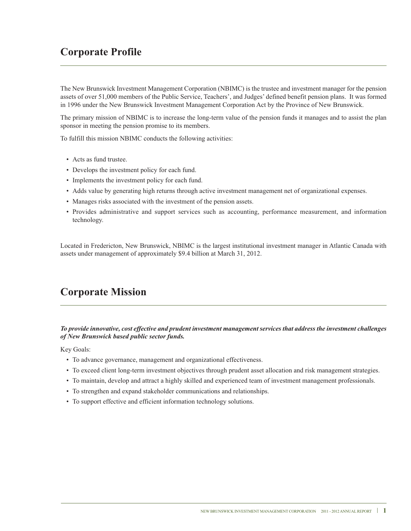### **Corporate Profile**

The New Brunswick Investment Management Corporation (NBIMC) is the trustee and investment manager for the pension assets of over 51,000 members of the Public Service, Teachers', and Judges' defined benefit pension plans. It was formed in 1996 under the New Brunswick Investment Management Corporation Act by the Province of New Brunswick.

The primary mission of NBIMC is to increase the long-term value of the pension funds it manages and to assist the plan sponsor in meeting the pension promise to its members.

To fulfill this mission NBIMC conducts the following activities:

- Acts as fund trustee.
- Develops the investment policy for each fund.
- Implements the investment policy for each fund.
- Adds value by generating high returns through active investment management net of organizational expenses.
- Manages risks associated with the investment of the pension assets.
- Provides administrative and support services such as accounting, performance measurement, and information technology.

Located in Fredericton, New Brunswick, NBIMC is the largest institutional investment manager in Atlantic Canada with assets under management of approximately \$9.4 billion at March 31, 2012.

### **Corporate Mission**

*To provide innovative, cost effective and prudent investment management services that address the investment challenges of New Brunswick based public sector funds.*

Key Goals:

- To advance governance, management and organizational effectiveness.
- To exceed client long-term investment objectives through prudent asset allocation and risk management strategies.
- To maintain, develop and attract a highly skilled and experienced team of investment management professionals.
- To strengthen and expand stakeholder communications and relationships.
- To support effective and efficient information technology solutions.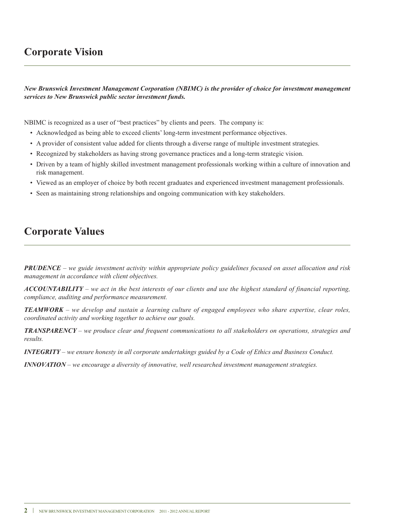### **Corporate Vision**

*New Brunswick Investment Management Corporation (NBIMC) is the provider of choice for investment management services to New Brunswick public sector investment funds.*

NBIMC is recognized as a user of "best practices" by clients and peers. The company is:

- Acknowledged as being able to exceed clients' long-term investment performance objectives.
- A provider of consistent value added for clients through a diverse range of multiple investment strategies.
- Recognized by stakeholders as having strong governance practices and a long-term strategic vision.
- Driven by a team of highly skilled investment management professionals working within a culture of innovation and risk management.
- Viewed as an employer of choice by both recent graduates and experienced investment management professionals.
- Seen as maintaining strong relationships and ongoing communication with key stakeholders.

### **Corporate Values**

**PRUDENCE** – we guide investment activity within appropriate policy guidelines focused on asset allocation and risk *management in accordance with client objectives.*

 $ACCOUNTABILITY - we act in the best interests of our clients and use the highest standard of financial reporting,$ *compliance, auditing and performance measurement.*

**TEAMWORK** – we develop and sustain a learning culture of engaged employees who share expertise, clear roles, *coordinated activity and working together to achieve our goals.*

*TRANSPARENCY – we produce clear and frequent communications to all stakeholders on operations, strategies and results.*

 $INTEGRITY$  – we ensure honesty in all corporate undertakings guided by a Code of Ethics and Business Conduct.

*INNOVATION – we encourage a diversity of innovative, well researched investment management strategies.*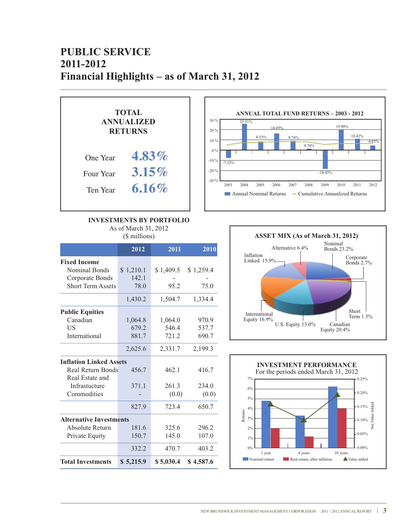## **PUBLIC SERVICE 2011-2012 Financial Highlights – as of March 31, 2012**



#### **INVESTMENTS BY PORTFOLIO**

As of March 31, 2012

|                                | 2012      | 2011      | 2010      |
|--------------------------------|-----------|-----------|-----------|
| <b>Fixed Income</b>            |           |           |           |
| Nominal Bonds                  | \$1,210.1 | \$1,409.5 | \$1,259.4 |
| Corporate Bonds                | 142.1     |           |           |
| <b>Short Term Assets</b>       | 78.0      | 95.2      | 75.0      |
|                                | 1,430.2   | 1,504.7   | 1,334.4   |
| <b>Public Equities</b>         |           |           |           |
| Canadian                       | 1,064.8   | 1,064.0   | 970.9     |
| US                             | 679.2     | 546.4     | 537.7     |
| International                  | 881.7     | 721.2     | 690.7     |
|                                | 2,625.6   | 2,331.7   | 2,199.3   |
| <b>Inflation Linked Assets</b> |           |           |           |
| <b>Real Return Bonds</b>       | 456.7     | 462.1     | 416.7     |
| Real Estate and                |           |           |           |
| Infrastucture                  | 371.1     | 261.3     | 234.0     |
| Commodities                    |           | (0.0)     | (0.0)     |
|                                | 827.9     | 723.4     | 650.7     |
| <b>Alternative Investments</b> |           |           |           |
| Absolute Return                | 181.6     | 325.6     | 296.2     |
| Private Equity                 | 150.7     | 145.0     | 107.0     |
|                                | 332.2     | 470.7     | 403.2     |
| <b>Total Investments</b>       | \$5,215.9 | \$5,030.4 | \$4,587.6 |



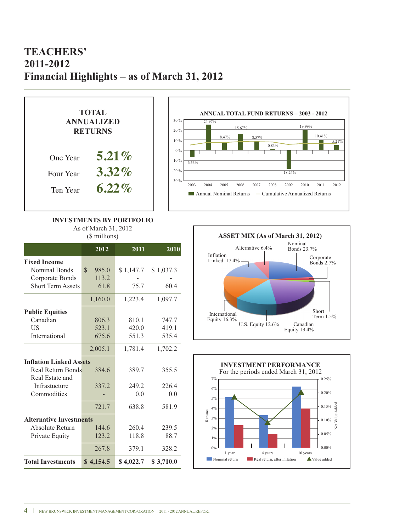### **TEACHERS' 2011-2012 Financial Highlights – as of March 31, 2012**





#### **INVESTMENTS BY PORTFOLIO** As of March 31, 2012

(\$ millions)

|                                | 2012                   | 2011      | 2010      |
|--------------------------------|------------------------|-----------|-----------|
| <b>Fixed Income</b>            |                        |           |           |
| Nominal Bonds                  | $\mathcal{S}$<br>985.0 | \$1,147.7 | \$1,037.3 |
| Corporate Bonds                | 113.2                  |           |           |
| <b>Short Term Assets</b>       | 61.8                   | 75.7      | 60.4      |
|                                | 1,160.0                | 1,223.4   | 1,097.7   |
| <b>Public Equities</b>         |                        |           |           |
| Canadian                       | 806.3                  | 810.1     | 747.7     |
| US                             | 523.1                  | 420.0     | 419.1     |
| International                  | 675.6                  | 551.3     | 535.4     |
|                                | 2,005.1                | 1,781.4   | 1,702.2   |
| <b>Inflation Linked Assets</b> |                        |           |           |
| Real Return Bonds              | 384.6                  | 389.7     | 355.5     |
| Real Estate and                |                        |           |           |
| Infrastucture                  | 337.2                  | 249.2     | 226.4     |
| Commodities                    |                        | 0.0       | 0.0       |
|                                | 721.7                  | 638.8     | 581.9     |
| <b>Alternative Investments</b> |                        |           |           |
| Absolute Return                | 144.6                  | 260.4     | 239.5     |
| Private Equity                 | 123.2                  | 118.8     | 88.7      |
|                                | 267.8                  | 379.1     | 328.2     |
| <b>Total Investments</b>       | \$4,154.5              | \$4,022.7 | \$3,710.0 |



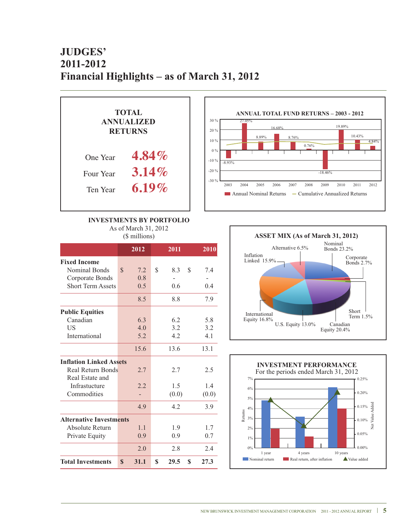## **JUDGES' 2011-2012 Financial Highlights – as of March 31, 2012**



**INVESTMENTS BY PORTFOLIO**

As of March 31, 2012

| (\$ millions) |  |
|---------------|--|
|---------------|--|

|                                | 2012                | 2011             | 2010  |
|--------------------------------|---------------------|------------------|-------|
| <b>Fixed Income</b>            |                     |                  |       |
| Nominal Bonds                  | \$<br>7.2           | \$<br>S<br>8.3   | 7.4   |
| Corporate Bonds                | 0.8                 |                  |       |
| <b>Short Term Assets</b>       | 0.5                 | 0.6              | 0.4   |
|                                | 8.5                 | 8.8              | 7.9   |
| <b>Public Equities</b>         |                     |                  |       |
| Canadian                       | 6.3                 | 6.2              | 5.8   |
| US                             | 4.0                 | 3.2              | 3.2   |
| International                  | 5.2                 | 4.2              | 4.1   |
|                                | 15.6                | 13.6             | 13.1  |
| <b>Inflation Linked Assets</b> |                     |                  |       |
| Real Return Bonds              | 2.7                 | 2.7              | 2.5   |
| Real Estate and                |                     |                  |       |
| Infrastucture                  | 2.2                 | 1.5              | 1.4   |
| Commodities                    |                     | (0.0)            | (0.0) |
|                                | 4.9                 | 4.2              | 3.9   |
| <b>Alternative Investments</b> |                     |                  |       |
| Absolute Return                | 1.1                 | 1.9              | 1.7   |
| Private Equity                 | 0.9                 | 0.9              | 0.7   |
|                                | 2.0                 | 2.8              | 2.4   |
| <b>Total Investments</b>       | $\mathbf S$<br>31.1 | \$<br>29.5<br>\$ | 27.3  |



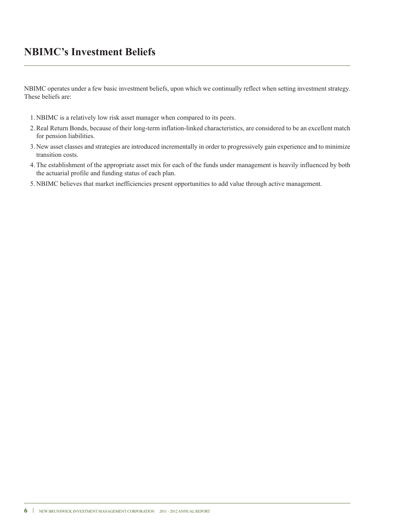### **NBIMC's Investment Beliefs**

NBIMC operates under a few basic investment beliefs, upon which we continually reflect when setting investment strategy. These beliefs are:

- 1. NBIMC is a relatively low risk asset manager when compared to its peers.
- 2.Real Return Bonds, because of their long-term inflation-linked characteristics, are considered to be an excellent match for pension liabilities.
- 3. New asset classes and strategies are introduced incrementally in order to progressively gain experience and to minimize transition costs.
- 4.The establishment of the appropriate asset mix for each of the funds under management is heavily influenced by both the actuarial profile and funding status of each plan.
- 5. NBIMC believes that market inefficiencies present opportunities to add value through active management.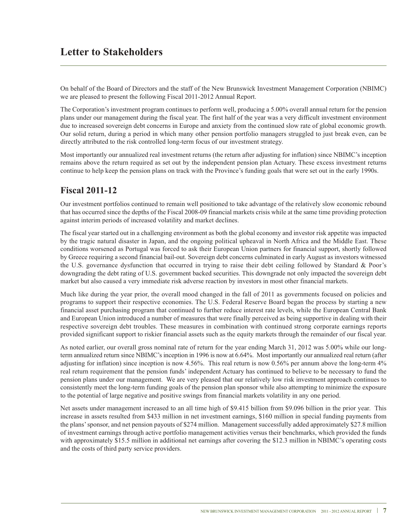### **Letter to Stakeholders**

On behalf of the Board of Directors and the staff of the New Brunswick Investment Management Corporation (NBIMC) we are pleased to present the following Fiscal 2011-2012 Annual Report.

The Corporation's investment program continues to perform well, producing a 5.00% overall annual return for the pension plans under our management during the fiscal year. The first half of the year was a very difficult investment environment due to increased sovereign debt concerns in Europe and anxiety from the continued slow rate of global economic growth. Our solid return, during a period in which many other pension portfolio managers struggled to just break even, can be directly attributed to the risk controlled long-term focus of our investment strategy.

Most importantly our annualized real investment returns (the return after adjusting for inflation) since NBIMC's inception remains above the return required as set out by the independent pension plan Actuary. These excess investment returns continue to help keep the pension plans on track with the Province's funding goals that were set out in the early 1990s.

### **Fiscal 2011-12**

Our investment portfolios continued to remain well positioned to take advantage of the relatively slow economic rebound that has occurred since the depths of the Fiscal 2008-09 financial markets crisis while at the same time providing protection against interim periods of increased volatility and market declines.

The fiscal year started out in a challenging environment as both the global economy and investor risk appetite was impacted by the tragic natural disaster in Japan, and the ongoing political upheaval in North Africa and the Middle East. These conditions worsened as Portugal was forced to ask their European Union partners for financial support, shortly followed by Greece requiring a second financial bail-out. Sovereign debt concerns culminated in early August as investors witnessed the U.S. governance dysfunction that occurred in trying to raise their debt ceiling followed by Standard & Poor's downgrading the debt rating of U.S. government backed securities. This downgrade not only impacted the sovereign debt market but also caused a very immediate risk adverse reaction by investors in most other financial markets.

Much like during the year prior, the overall mood changed in the fall of 2011 as governments focused on policies and programs to support their respective economies. The U.S. Federal Reserve Board began the process by starting a new financial asset purchasing program that continued to further reduce interest rate levels, while the European Central Bank and European Union introduced a number of measures that were finally perceived as being supportive in dealing with their respective sovereign debt troubles. These measures in combination with continued strong corporate earnings reports provided significant support to riskier financial assets such as the equity markets through the remainder of our fiscal year.

As noted earlier, our overall gross nominal rate of return for the year ending March 31, 2012 was 5.00% while our longterm annualized return since NBIMC's inception in 1996 is now at 6.64%. Most importantly our annualized real return (after adjusting for inflation) since inception is now 4.56%. This real return is now 0.56% per annum above the long-term 4% real return requirement that the pension funds' independent Actuary has continued to believe to be necessary to fund the pension plans under our management. We are very pleased that our relatively low risk investment approach continues to consistently meet the long-term funding goals of the pension plan sponsor while also attempting to minimize the exposure to the potential of large negative and positive swings from financial markets volatility in any one period.

Net assets under management increased to an all time high of \$9.415 billion from \$9.096 billion in the prior year. This increase in assets resulted from \$433 million in net investment earnings, \$160 million in special funding payments from the plans'sponsor, and net pension payouts of \$274 million. Management successfully added approximately \$27.8 million of investment earnings through active portfolio management activities versus their benchmarks, which provided the funds with approximately \$15.5 million in additional net earnings after covering the \$12.3 million in NBIMC's operating costs and the costs of third party service providers.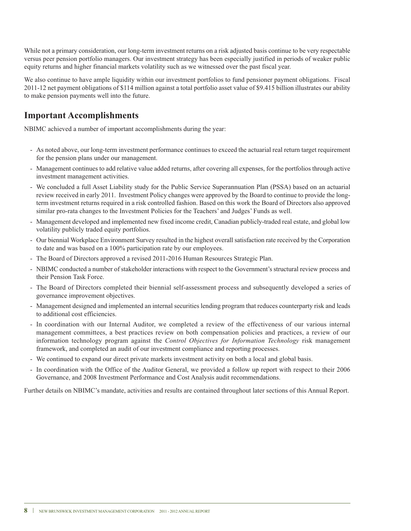While not a primary consideration, our long-term investment returns on a risk adjusted basis continue to be very respectable versus peer pension portfolio managers. Our investment strategy has been especially justified in periods of weaker public equity returns and higher financial markets volatility such as we witnessed over the past fiscal year.

We also continue to have ample liquidity within our investment portfolios to fund pensioner payment obligations. Fiscal 2011-12 net payment obligations of \$114 million against a total portfolio asset value of \$9.415 billion illustrates our ability to make pension payments well into the future.

### **Important Accomplishments**

NBIMC achieved a number of important accomplishments during the year:

- As noted above, our long-term investment performance continues to exceed the actuarial real return target requirement for the pension plans under our management.
- Management continues to add relative value added returns, after covering all expenses, for the portfolios through active investment management activities.
- We concluded a full Asset Liability study for the Public Service Superannuation Plan (PSSA) based on an actuarial review received in early 2011. Investment Policy changes were approved by the Board to continue to provide the longterm investment returns required in a risk controlled fashion. Based on this work the Board of Directors also approved similar pro-rata changes to the Investment Policies for the Teachers' and Judges' Funds as well.
- Management developed and implemented new fixed income credit, Canadian publicly-traded real estate, and global low volatility publicly traded equity portfolios.
- Our biennial Workplace Environment Survey resulted in the highest overall satisfaction rate received by the Corporation to date and was based on a 100% participation rate by our employees.
- The Board of Directors approved a revised 2011-2016 Human Resources Strategic Plan.
- NBIMC conducted a number of stakeholder interactions with respect to the Government's structural review process and their Pension Task Force.
- The Board of Directors completed their biennial self-assessment process and subsequently developed a series of governance improvement objectives.
- Management designed and implemented an internal securities lending program that reduces counterparty risk and leads to additional cost efficiencies.
- In coordination with our Internal Auditor, we completed a review of the effectiveness of our various internal management committees, a best practices review on both compensation policies and practices, a review of our information technology program against the *Control Objectives for Information Technology* risk management framework, and completed an audit of our investment compliance and reporting processes.
- We continued to expand our direct private markets investment activity on both a local and global basis.
- In coordination with the Office of the Auditor General, we provided a follow up report with respect to their 2006 Governance, and 2008 Investment Performance and Cost Analysis audit recommendations.

Further details on NBIMC's mandate, activities and results are contained throughout later sections of this Annual Report.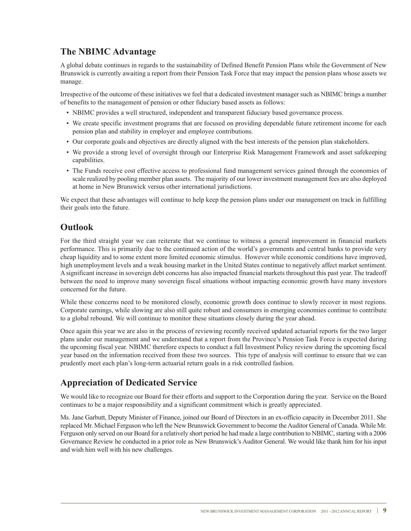### **The NBIMC Advantage**

A global debate continues in regards to the sustainability of Defined Benefit Pension Plans while the Government of New Brunswick is currently awaiting a report from their Pension Task Force that may impact the pension plans whose assets we manage.

Irrespective of the outcome of these initiatives we feel that a dedicated investment manager such as NBIMC brings a number of benefits to the management of pension or other fiduciary based assets as follows:

- NBIMC provides a well structured, independent and transparent fiduciary based governance process.
- We create specific investment programs that are focused on providing dependable future retirement income for each pension plan and stability in employer and employee contributions.
- Our corporate goals and objectives are directly aligned with the best interests of the pension plan stakeholders.
- We provide a strong level of oversight through our Enterprise Risk Management Framework and asset safekeeping capabilities.
- The Funds receive cost effective access to professional fund management services gained through the economies of scale realized by pooling member plan assets. The majority of our lower investment management fees are also deployed at home in New Brunswick versus other international jurisdictions.

We expect that these advantages will continue to help keep the pension plans under our management on track in fulfilling their goals into the future.

### **Outlook**

For the third straight year we can reiterate that we continue to witness a general improvement in financial markets performance. This is primarily due to the continued action of the world's governments and central banks to provide very cheap liquidity and to some extent more limited economic stimulus. However while economic conditions have improved, high unemployment levels and a weak housing market in the United States continue to negatively affect market sentiment. A significant increase in sovereign debt concerns has also impacted financial markets throughout this past year. The tradeoff between the need to improve many sovereign fiscal situations without impacting economic growth have many investors concerned for the future.

While these concerns need to be monitored closely, economic growth does continue to slowly recover in most regions. Corporate earnings, while slowing are also still quite robust and consumers in emerging economies continue to contribute to a global rebound. We will continue to monitor these situations closely during the year ahead.

Once again this year we are also in the process of reviewing recently received updated actuarial reports for the two larger plans under our management and we understand that a report from the Province's Pension Task Force is expected during the upcoming fiscal year. NBIMC therefore expects to conduct a full Investment Policy review during the upcoming fiscal year based on the information received from these two sources. This type of analysis will continue to ensure that we can prudently meet each plan's long-term actuarial return goals in a risk controlled fashion.

### **Appreciation of Dedicated Service**

We would like to recognize our Board for their efforts and support to the Corporation during the year. Service on the Board continues to be a major responsibility and a significant commitment which is greatly appreciated.

Ms. Jane Garbutt, Deputy Minister of Finance, joined our Board of Directors in an ex-officio capacity in December 2011. She replaced Mr. Michael Ferguson who left the New Brunswick Government to become the Auditor General of Canada. While Mr. Ferguson only served on our Board for a relatively short period he had made a large contribution to NBIMC, starting with a 2006 Governance Review he conducted in a prior role as New Brunswick's Auditor General. We would like thank him for his input and wish him well with his new challenges.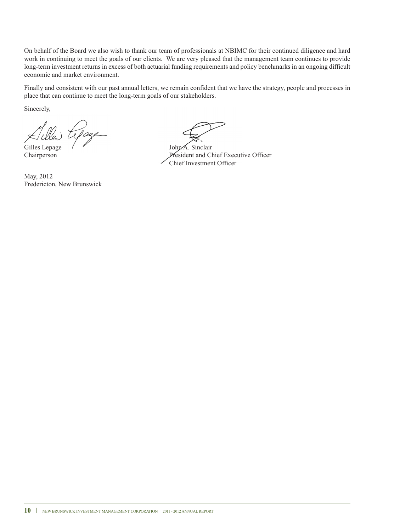On behalf of the Board we also wish to thank our team of professionals at NBIMC for their continued diligence and hard work in continuing to meet the goals of our clients. We are very pleased that the management team continues to provide long-term investment returns in excess of both actuarial funding requirements and policy benchmarks in an ongoing difficult economic and market environment.

Finally and consistent with our past annual letters, we remain confident that we have the strategy, people and processes in place that can continue to meet the long-term goals of our stakeholders.

Sincerely,

Gilles Lepage / V John A. Sinclair

May, 2012 Fredericton, New Brunswick

Chairperson President and Chief Executive Officer Chief Investment Officer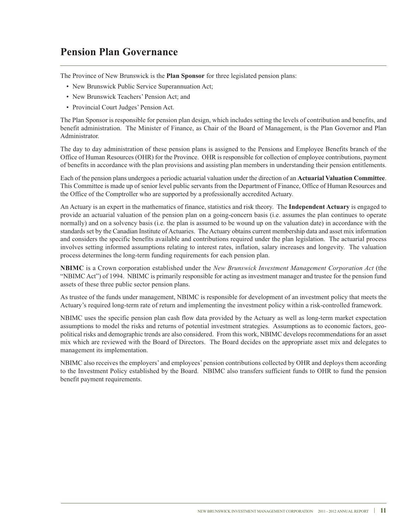### **Pension Plan Governance**

The Province of New Brunswick is the **Plan Sponsor** for three legislated pension plans:

- New Brunswick Public Service Superannuation Act;
- New Brunswick Teachers' Pension Act; and
- Provincial Court Judges' Pension Act.

The Plan Sponsor is responsible for pension plan design, which includes setting the levels of contribution and benefits, and benefit administration. The Minister of Finance, as Chair of the Board of Management, is the Plan Governor and Plan Administrator.

The day to day administration of these pension plans is assigned to the Pensions and Employee Benefits branch of the Office of Human Resources (OHR) for the Province. OHR is responsible for collection of employee contributions, payment of benefits in accordance with the plan provisions and assisting plan members in understanding their pension entitlements.

Each of the pension plans undergoes a periodic actuarial valuation under the direction of an **Actuarial Valuation Committee**. This Committee is made up of senior level public servants from the Department of Finance, Office of Human Resources and the Office of the Comptroller who are supported by a professionally accredited Actuary.

An Actuary is an expert in the mathematics of finance, statistics and risk theory. The **Independent Actuary** is engaged to provide an actuarial valuation of the pension plan on a going-concern basis (i.e. assumes the plan continues to operate normally) and on a solvency basis (i.e. the plan is assumed to be wound up on the valuation date) in accordance with the standards set by the Canadian Institute of Actuaries. The Actuary obtains current membership data and asset mix information and considers the specific benefits available and contributions required under the plan legislation. The actuarial process involves setting informed assumptions relating to interest rates, inflation, salary increases and longevity. The valuation process determines the long-term funding requirements for each pension plan.

**NBIMC** is a Crown corporation established under the *New Brunswick Investment Management Corporation Act* (the "NBIMC Act") of 1994. NBIMC is primarily responsible for acting as investment manager and trustee for the pension fund assets of these three public sector pension plans.

As trustee of the funds under management, NBIMC is responsible for development of an investment policy that meets the Actuary's required long-term rate of return and implementing the investment policy within a risk-controlled framework.

NBIMC uses the specific pension plan cash flow data provided by the Actuary as well as long-term market expectation assumptions to model the risks and returns of potential investment strategies. Assumptions as to economic factors, geopolitical risks and demographic trends are also considered. From this work, NBIMC develops recommendations for an asset mix which are reviewed with the Board of Directors. The Board decides on the appropriate asset mix and delegates to management its implementation.

NBIMC also receives the employers' and employees' pension contributions collected by OHR and deploys them according to the Investment Policy established by the Board. NBIMC also transfers sufficient funds to OHR to fund the pension benefit payment requirements.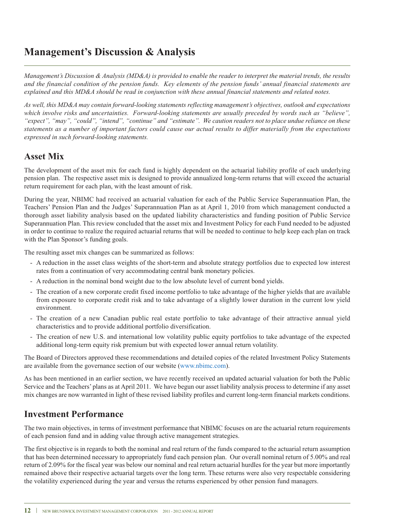### **Management's Discussion & Analysis**

Management's Discussion & Analysis (MD&A) is provided to enable the reader to interpret the material trends, the results and the financial condition of the pension funds. Key elements of the pension funds' annual financial statements are explained and this MD&A should be read in conjunction with these annual financial statements and related notes.

*As well, this MD&A may contain forward-looking statements reflecting management's objectives, outlook and expectations which involve risks and uncertainties. Forward-looking statements are usually preceded by words such as "believe",* "expect", "may", "could", "intend", "continue" and "estimate". We caution readers not to place undue reliance on these statements as a number of important factors could cause our actual results to differ materially from the expectations *expressed in such forward-looking statements.*

### **Asset Mix**

The development of the asset mix for each fund is highly dependent on the actuarial liability profile of each underlying pension plan. The respective asset mix is designed to provide annualized long-term returns that will exceed the actuarial return requirement for each plan, with the least amount of risk.

During the year, NBIMC had received an actuarial valuation for each of the Public Service Superannuation Plan, the Teachers' Pension Plan and the Judges' Superannuation Plan as at April 1, 2010 from which management conducted a thorough asset liability analysis based on the updated liability characteristics and funding position of Public Service Superannuation Plan. This review concluded that the asset mix and Investment Policy for each Fund needed to be adjusted in order to continue to realize the required actuarial returns that will be needed to continue to help keep each plan on track with the Plan Sponsor's funding goals.

The resulting asset mix changes can be summarized as follows:

- A reduction in the asset class weights of the short-term and absolute strategy portfolios due to expected low interest rates from a continuation of very accommodating central bank monetary policies.
- A reduction in the nominal bond weight due to the low absolute level of current bond yields.
- The creation of a new corporate credit fixed income portfolio to take advantage of the higher yields that are available from exposure to corporate credit risk and to take advantage of a slightly lower duration in the current low yield environment.
- The creation of a new Canadian public real estate portfolio to take advantage of their attractive annual yield characteristics and to provide additional portfolio diversification.
- The creation of new U.S. and international low volatility public equity portfolios to take advantage of the expected additional long-term equity risk premium but with expected lower annual return volatility.

The Board of Directors approved these recommendations and detailed copies of the related Investment Policy Statements are available from the governance section of our website (www.nbimc.com).

As has been mentioned in an earlier section, we have recently received an updated actuarial valuation for both the Public Service and the Teachers' plans as at April 2011. We have begun our asset liability analysis process to determine if any asset mix changes are now warranted in light of these revised liability profiles and current long-term financial markets conditions.

### **Investment Performance**

The two main objectives, in terms of investment performance that NBIMC focuses on are the actuarial return requirements of each pension fund and in adding value through active management strategies.

The first objective is in regards to both the nominal and real return of the funds compared to the actuarial return assumption that has been determined necessary to appropriately fund each pension plan. Our overall nominal return of 5.00% and real return of 2.09% for the fiscal year was below our nominal and real return actuarial hurdles for the year but more importantly remained above their respective actuarial targets over the long term. These returns were also very respectable considering the volatility experienced during the year and versus the returns experienced by other pension fund managers.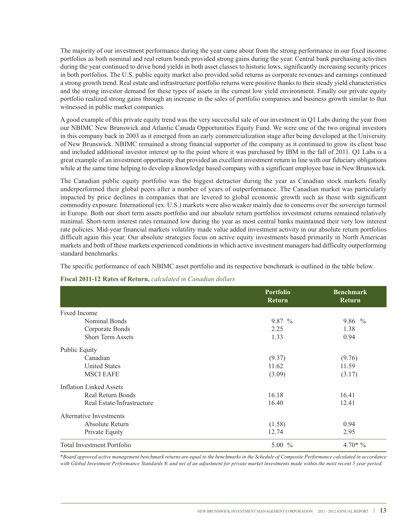The majority of our investment performance during the year came about from the strong performance in our fixed income portfolios as both nominal and real return bonds provided strong gains during the year. Central bank purchasing activities during the year continued to drive bond yields in both asset classes to historic lows, significantly increasing security prices in both portfolios. The U.S. public equity market also provided solid returns as corporate revenues and earnings continued a strong growth trend. Real estate and infrastructure portfolio returns were positive thanks to their steady yield characteristics and the strong investor demand for these types of assets in the current low yield environment. Finally our private equity portfolio realized strong gains through an increase in the sales of portfolio companies and business growth similar to that witnessed in public market companies.

A good example of this private equity trend was the very successful sale of our investment in Q1 Labs during the year from our NBIMC New Brunswick and Atlantic Canada Opportunities Equity Fund. We were one of the two original investors in this company back in 2003 as it emerged from an early commercialization stage after being developed at the University of New Brunswick. NBIMC remained a strong financial supporter of the company as it continued to grow its client base and included additional investor interest up to the point where it was purchased by IBM in the fall of 2011. Q1 Labs is a great example of an investment opportunity that provided an excellent investment return in line with our fiduciary obligations while at the same time helping to develop a knowledge based company with a significant employee base in New Brunswick.

The Canadian public equity portfolio was the biggest detractor during the year as Canadian stock markets finally underperformed their global peers after a number of years of outperformance. The Canadian market was particularly impacted by price declines in companies that are levered to global economic growth such as those with significant commodity exposure. International (ex. U.S.) markets were also weaker mainly due to concerns over the sovereign turmoil in Europe. Both our short term assets portfolio and our absolute return portfolios investment returns remained relatively minimal. Short-term interest rates remained low during the year as most central banks maintained their very low interest rate policies. Mid-year financial markets volatility made value added investment activity in our absolute return portfolios difficult again this year. Our absolute strategies focus on active equity investments based primarily in North American markets and both of these markets experienced conditions in which active investment managers had difficulty outperforming standard benchmarks.

The specific performance of each NBIMC asset portfolio and its respective benchmark is outlined in the table below.

| Fiscal 2011-12 Rates of Return, calculated in Canadian dollars |  |
|----------------------------------------------------------------|--|
|----------------------------------------------------------------|--|

|                                   | <b>Portfolio</b><br><b>Return</b> | <b>Benchmark</b><br><b>Return</b> |
|-----------------------------------|-----------------------------------|-----------------------------------|
| Fixed Income                      |                                   |                                   |
| Nominal Bonds                     | $9.87\%$                          | $9.86\%$                          |
| Corporate Bonds                   | 2.25                              | 1.38                              |
| <b>Short Term Assets</b>          | 1.33                              | 0.94                              |
| Public Equity                     |                                   |                                   |
| Canadian                          | (9.37)                            | (9.76)                            |
| <b>United States</b>              | 11.62                             | 11.59                             |
| <b>MSCI EAFE</b>                  | (3.09)                            | (3.17)                            |
| <b>Inflation Linked Assets</b>    |                                   |                                   |
| Real Return Bonds                 | 16.18                             | 16.41                             |
| Real Estate/Infrastructure        | 16.40                             | 12.41                             |
| Alternative Investments           |                                   |                                   |
| Absolute Return                   | (1.58)                            | 0.94                              |
| Private Equity                    | 12.74                             | 2.95                              |
| <b>Total Investment Portfolio</b> | 5.00 $\%$                         | $4.70*$ %                         |

\*Board approved active management benchmark returns are equal to the benchmarks in the Schedule of Composite Performance calculated in accordance with Global Investment Performance Standards ® and net of an adjustment for private market investments made within the most recent 5 year period.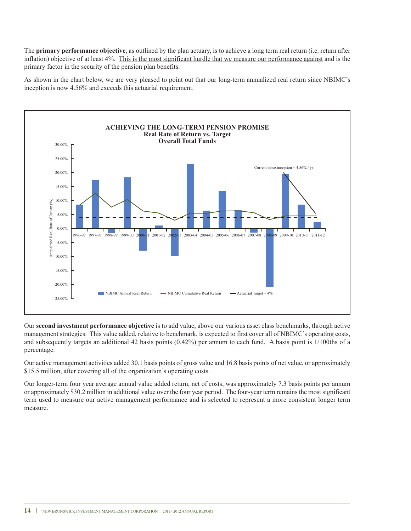The **primary performance objective**, as outlined by the plan actuary, is to achieve a long term real return (i.e. return after inflation) objective of at least 4%. This is the most significant hurdle that we measure our performance against and is the primary factor in the security of the pension plan benefits.

As shown in the chart below, we are very pleased to point out that our long-term annualized real return since NBIMC's inception is now 4.56% and exceeds this actuarial requirement.



Our **second investment performance objective** is to add value, above our various asset class benchmarks, through active management strategies. This value added, relative to benchmark, is expected to first cover all of NBIMC's operating costs, and subsequently targets an additional 42 basis points (0.42%) per annum to each fund. A basis point is 1/100ths of a percentage.

Our active management activities added 30.1 basis points of gross value and 16.8 basis points of net value, or approximately \$15.5 million, after covering all of the organization's operating costs.

Our longer-term four year average annual value added return, net of costs, was approximately 7.3 basis points per annum or approximately \$30.2 million in additional value over the four year period. The four-year term remains the most significant term used to measure our active management performance and is selected to represent a more consistent longer term measure.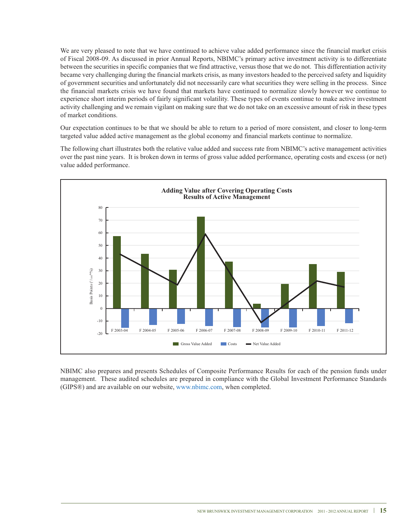We are very pleased to note that we have continued to achieve value added performance since the financial market crisis of Fiscal 2008-09. As discussed in prior Annual Reports, NBIMC's primary active investment activity is to differentiate between the securities in specific companies that we find attractive, versus those that we do not. This differentiation activity became very challenging during the financial markets crisis, as many investors headed to the perceived safety and liquidity of government securities and unfortunately did not necessarily care what securities they were selling in the process. Since the financial markets crisis we have found that markets have continued to normalize slowly however we continue to experience short interim periods of fairly significant volatility. These types of events continue to make active investment activity challenging and we remain vigilant on making sure that we do not take on an excessive amount of risk in these types of market conditions.

Our expectation continues to be that we should be able to return to a period of more consistent, and closer to long-term targeted value added active management as the global economy and financial markets continue to normalize.

The following chart illustrates both the relative value added and success rate from NBIMC's active management activities over the past nine years. It is broken down in terms of gross value added performance, operating costs and excess (or net) value added performance.



NBIMC also prepares and presents Schedules of Composite Performance Results for each of the pension funds under management. These audited schedules are prepared in compliance with the Global Investment Performance Standards (GIPS®) and are available on our website, www.nbimc.com, when completed.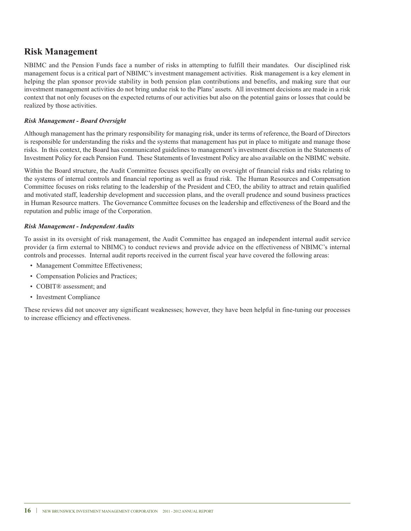### **Risk Management**

NBIMC and the Pension Funds face a number of risks in attempting to fulfill their mandates. Our disciplined risk management focus is a critical part of NBIMC's investment management activities. Risk management is a key element in helping the plan sponsor provide stability in both pension plan contributions and benefits, and making sure that our investment management activities do not bring undue risk to the Plans' assets. All investment decisions are made in a risk context that not only focuses on the expected returns of our activities but also on the potential gains or losses that could be realized by those activities.

#### *Risk Management - Board Oversight*

Although management has the primary responsibility for managing risk, under its terms of reference, the Board of Directors is responsible for understanding the risks and the systems that management has put in place to mitigate and manage those risks. In this context, the Board has communicated guidelines to management's investment discretion in the Statements of Investment Policy for each Pension Fund. These Statements of Investment Policy are also available on the NBIMC website.

Within the Board structure, the Audit Committee focuses specifically on oversight of financial risks and risks relating to the systems of internal controls and financial reporting as well as fraud risk. The Human Resources and Compensation Committee focuses on risks relating to the leadership of the President and CEO, the ability to attract and retain qualified and motivated staff, leadership development and succession plans, and the overall prudence and sound business practices in Human Resource matters. The Governance Committee focuses on the leadership and effectiveness of the Board and the reputation and public image of the Corporation.

#### *Risk Management - Independent Audits*

To assist in its oversight of risk management, the Audit Committee has engaged an independent internal audit service provider (a firm external to NBIMC) to conduct reviews and provide advice on the effectiveness of NBIMC's internal controls and processes. Internal audit reports received in the current fiscal year have covered the following areas:

- Management Committee Effectiveness;
- Compensation Policies and Practices;
- COBIT® assessment: and
- Investment Compliance

These reviews did not uncover any significant weaknesses; however, they have been helpful in fine-tuning our processes to increase efficiency and effectiveness.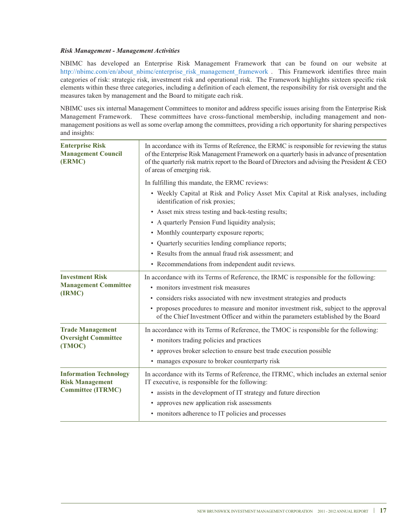#### *Risk Management - Management Activities*

NBIMC has developed an Enterprise Risk Management Framework that can be found on our website at http://nbimc.com/en/about\_nbimc/enterprise\_risk\_management\_framework . This Framework identifies three main categories of risk: strategic risk, investment risk and operational risk. The Framework highlights sixteen specific risk elements within these three categories, including a definition of each element, the responsibility for risk oversight and the measures taken by management and the Board to mitigate each risk.

NBIMC uses six internal Management Committees to monitor and address specific issues arising from the Enterprise Risk Management Framework. These committees have cross-functional membership, including management and nonmanagement positions as well as some overlap among the committees, providing a rich opportunity for sharing perspectives and insights:

| <b>Enterprise Risk</b><br><b>Management Council</b><br>(ERMC) | In accordance with its Terms of Reference, the ERMC is responsible for reviewing the status<br>of the Enterprise Risk Management Framework on a quarterly basis in advance of presentation<br>of the quarterly risk matrix report to the Board of Directors and advising the President & CEO<br>of areas of emerging risk. |
|---------------------------------------------------------------|----------------------------------------------------------------------------------------------------------------------------------------------------------------------------------------------------------------------------------------------------------------------------------------------------------------------------|
|                                                               | In fulfilling this mandate, the ERMC reviews:                                                                                                                                                                                                                                                                              |
|                                                               | • Weekly Capital at Risk and Policy Asset Mix Capital at Risk analyses, including<br>identification of risk proxies;                                                                                                                                                                                                       |
|                                                               | • Asset mix stress testing and back-testing results;                                                                                                                                                                                                                                                                       |
|                                                               | • A quarterly Pension Fund liquidity analysis;                                                                                                                                                                                                                                                                             |
|                                                               | • Monthly counterparty exposure reports;                                                                                                                                                                                                                                                                                   |
|                                                               | • Quarterly securities lending compliance reports;                                                                                                                                                                                                                                                                         |
|                                                               | • Results from the annual fraud risk assessment; and                                                                                                                                                                                                                                                                       |
|                                                               | • Recommendations from independent audit reviews.                                                                                                                                                                                                                                                                          |
| <b>Investment Risk</b><br><b>Management Committee</b>         | In accordance with its Terms of Reference, the IRMC is responsible for the following:<br>• monitors investment risk measures                                                                                                                                                                                               |
| (IRMC)                                                        | • considers risks associated with new investment strategies and products                                                                                                                                                                                                                                                   |
|                                                               | • proposes procedures to measure and monitor investment risk, subject to the approval<br>of the Chief Investment Officer and within the parameters established by the Board                                                                                                                                                |
| <b>Trade Management</b>                                       | In accordance with its Terms of Reference, the TMOC is responsible for the following:                                                                                                                                                                                                                                      |
| <b>Oversight Committee</b>                                    | • monitors trading policies and practices                                                                                                                                                                                                                                                                                  |
| (TMOC)                                                        | • approves broker selection to ensure best trade execution possible                                                                                                                                                                                                                                                        |
|                                                               | • manages exposure to broker counterparty risk                                                                                                                                                                                                                                                                             |
| <b>Information Technology</b><br><b>Risk Management</b>       | In accordance with its Terms of Reference, the ITRMC, which includes an external senior<br>IT executive, is responsible for the following:                                                                                                                                                                                 |
| <b>Committee (ITRMC)</b>                                      | • assists in the development of IT strategy and future direction                                                                                                                                                                                                                                                           |
|                                                               | • approves new application risk assessments                                                                                                                                                                                                                                                                                |
|                                                               | • monitors adherence to IT policies and processes                                                                                                                                                                                                                                                                          |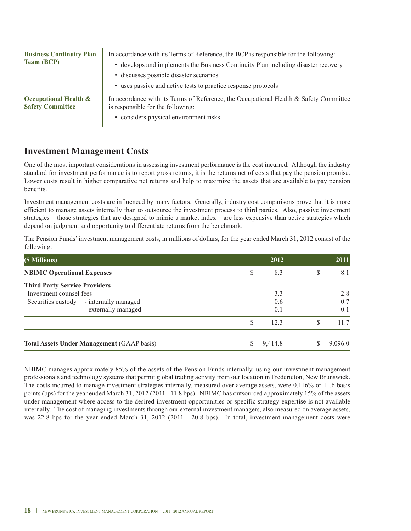| <b>Business Continuity Plan</b><br><b>Team (BCP)</b>        | In accordance with its Terms of Reference, the BCP is responsible for the following:<br>• develops and implements the Business Continuity Plan including disaster recovery<br>• discusses possible disaster scenarios<br>• uses passive and active tests to practice response protocols |
|-------------------------------------------------------------|-----------------------------------------------------------------------------------------------------------------------------------------------------------------------------------------------------------------------------------------------------------------------------------------|
| <b>Occupational Health &amp;</b><br><b>Safety Committee</b> | In accordance with its Terms of Reference, the Occupational Health & Safety Committee<br>is responsible for the following:<br>• considers physical environment risks                                                                                                                    |

### **Investment Management Costs**

One of the most important considerations in assessing investment performance is the cost incurred. Although the industry standard for investment performance is to report gross returns, it is the returns net of costs that pay the pension promise. Lower costs result in higher comparative net returns and help to maximize the assets that are available to pay pension benefits.

Investment management costs are influenced by many factors. Generally, industry cost comparisons prove that it is more efficient to manage assets internally than to outsource the investment process to third parties. Also, passive investment strategies – those strategies that are designed to mimic a market index – are less expensive than active strategies which depend on judgment and opportunity to differentiate returns from the benchmark.

The Pension Funds'investment management costs, in millions of dollars, for the year ended March 31, 2012 consist of the following:

| (\$ Millions)                                                   |                                                   |    | 2012       |    | 2011       |
|-----------------------------------------------------------------|---------------------------------------------------|----|------------|----|------------|
| <b>NBIMC Operational Expenses</b>                               |                                                   | \$ | 8.3        | \$ | 8.1        |
| <b>Third Party Service Providers</b><br>Investment counsel fees |                                                   |    | 3.3        |    | 2.8        |
| Securities custody                                              | - internally managed<br>- externally managed      |    | 0.6<br>0.1 |    | 0.7<br>0.1 |
|                                                                 |                                                   | S  | 12.3       | S  | 11.7       |
|                                                                 | <b>Total Assets Under Management (GAAP basis)</b> | S  | 9,414.8    | S  | 9,096.0    |

NBIMC manages approximately 85% of the assets of the Pension Funds internally, using our investment management professionals and technology systems that permit global trading activity from our location in Fredericton, New Brunswick. The costs incurred to manage investment strategies internally, measured over average assets, were 0.116% or 11.6 basis points (bps) for the year ended March 31, 2012 (2011 - 11.8 bps). NBIMC has outsourced approximately 15% of the assets under management where access to the desired investment opportunities or specific strategy expertise is not available internally. The cost of managing investments through our external investment managers, also measured on average assets, was 22.8 bps for the year ended March 31, 2012 (2011 - 20.8 bps). In total, investment management costs were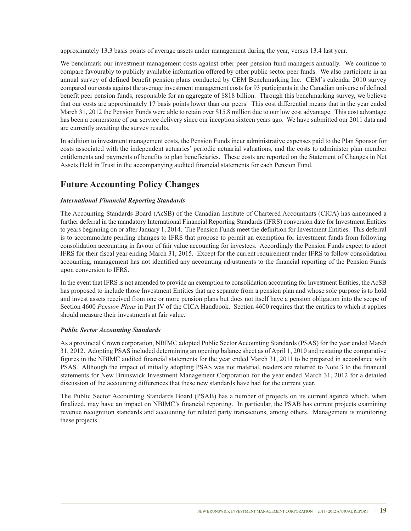approximately 13.3 basis points of average assets under management during the year, versus 13.4 last year.

We benchmark our investment management costs against other peer pension fund managers annually. We continue to compare favourably to publicly available information offered by other public sector peer funds. We also participate in an annual survey of defined benefit pension plans conducted by CEM Benchmarking Inc. CEM's calendar 2010 survey compared our costs against the average investment management costs for 93 participants in the Canadian universe of defined benefit peer pension funds, responsible for an aggregate of \$818 billion. Through this benchmarking survey, we believe that our costs are approximately 17 basis points lower than our peers. This cost differential means that in the year ended March 31, 2012 the Pension Funds were able to retain over \$15.8 million due to our low cost advantage. This cost advantage has been a cornerstone of our service delivery since our inception sixteen years ago. We have submitted our 2011 data and are currently awaiting the survey results.

In addition to investment management costs, the Pension Funds incur administrative expenses paid to the Plan Sponsor for costs associated with the independent actuaries' periodic actuarial valuations, and the costs to administer plan member entitlements and payments of benefits to plan beneficiaries. These costs are reported on the Statement of Changes in Net Assets Held in Trust in the accompanying audited financial statements for each Pension Fund.

### **Future Accounting Policy Changes**

#### *International Financial Reporting Standards*

The Accounting Standards Board (AcSB) of the Canadian Institute of Chartered Accountants (CICA) has announced a further deferral in the mandatory International Financial Reporting Standards (IFRS) conversion date for Investment Entities to years beginning on or after January 1, 2014. The Pension Funds meet the definition for Investment Entities. This deferral is to accommodate pending changes to IFRS that propose to permit an exemption for investment funds from following consolidation accounting in favour of fair value accounting for investees. Accordingly the Pension Funds expect to adopt IFRS for their fiscal year ending March 31, 2015. Except for the current requirement under IFRS to follow consolidation accounting, management has not identified any accounting adjustments to the financial reporting of the Pension Funds upon conversion to IFRS.

In the event that IFRS is not amended to provide an exemption to consolidation accounting for Investment Entities, the AcSB has proposed to include those Investment Entities that are separate from a pension plan and whose sole purpose is to hold and invest assets received from one or more pension plans but does not itself have a pension obligation into the scope of Section 4600 *Pension Plans* in Part IV of the CICA Handbook. Section 4600 requires that the entities to which it applies should measure their investments at fair value.

#### *Public Sector Accounting Standards*

As a provincial Crown corporation, NBIMC adopted Public Sector Accounting Standards (PSAS) for the year ended March 31, 2012. Adopting PSAS included determining an opening balance sheet as of April 1, 2010 and restating the comparative figures in the NBIMC audited financial statements for the year ended March 31, 2011 to be prepared in accordance with PSAS. Although the impact of initially adopting PSAS was not material, readers are referred to Note 3 to the financial statements for New Brunswick Investment Management Corporation for the year ended March 31, 2012 for a detailed discussion of the accounting differences that these new standards have had for the current year.

The Public Sector Accounting Standards Board (PSAB) has a number of projects on its current agenda which, when finalized, may have an impact on NBIMC's financial reporting. In particular, the PSAB has current projects examining revenue recognition standards and accounting for related party transactions, among others. Management is monitoring these projects.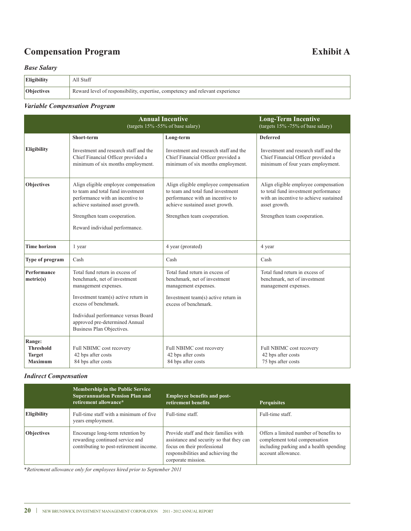### **Compensation Program Exhibit A**

#### *Base Salary*

| Eligibility       | All Staff                                                                     |
|-------------------|-------------------------------------------------------------------------------|
| <b>Objectives</b> | Reward level of responsibility, expertise, competency and relevant experience |

### *Variable Compensation Program*

| <b>Annual Incentive</b><br>(targets $15\%$ -55% of base salary) |                                                                                                                                                                                                                                                             |                                                                                                                                                       | <b>Long-Term Incentive</b><br>(targets $15\%$ -75% of base salary)                                                                      |
|-----------------------------------------------------------------|-------------------------------------------------------------------------------------------------------------------------------------------------------------------------------------------------------------------------------------------------------------|-------------------------------------------------------------------------------------------------------------------------------------------------------|-----------------------------------------------------------------------------------------------------------------------------------------|
|                                                                 | Short-term                                                                                                                                                                                                                                                  | Long-term                                                                                                                                             | <b>Deferred</b>                                                                                                                         |
| <b>Eligibility</b>                                              | Investment and research staff and the<br>Chief Financial Officer provided a<br>minimum of six months employment.                                                                                                                                            | Investment and research staff and the<br>Chief Financial Officer provided a<br>minimum of six months employment.                                      | Investment and research staff and the<br>Chief Financial Officer provided a<br>minimum of four years employment.                        |
| <b>Objectives</b>                                               | Align eligible employee compensation<br>to team and total fund investment<br>performance with an incentive to<br>achieve sustained asset growth.                                                                                                            | Align eligible employee compensation<br>to team and total fund investment<br>performance with an incentive to<br>achieve sustained asset growth.      | Align eligible employee compensation<br>to total fund investment performance<br>with an incentive to achieve sustained<br>asset growth. |
|                                                                 | Strengthen team cooperation.<br>Reward individual performance.                                                                                                                                                                                              | Strengthen team cooperation.                                                                                                                          | Strengthen team cooperation.                                                                                                            |
| <b>Time horizon</b>                                             | 1 year                                                                                                                                                                                                                                                      | 4 year (prorated)                                                                                                                                     | 4 year                                                                                                                                  |
| Type of program                                                 | Cash                                                                                                                                                                                                                                                        | Cash                                                                                                                                                  | Cash                                                                                                                                    |
| <b>Performance</b><br>metric(s)                                 | Total fund return in excess of<br>benchmark, net of investment<br>management expenses.<br>Investment team(s) active return in<br>excess of benchmark.<br>Individual performance versus Board<br>approved pre-determined Annual<br>Business Plan Objectives. | Total fund return in excess of<br>benchmark, net of investment<br>management expenses.<br>Investment team(s) active return in<br>excess of benchmark. | Total fund return in excess of<br>benchmark, net of investment<br>management expenses.                                                  |
| Range:<br><b>Threshold</b><br><b>Target</b><br><b>Maximum</b>   | Full NBIMC cost recovery<br>42 bps after costs<br>84 bps after costs                                                                                                                                                                                        | Full NBIMC cost recovery<br>42 bps after costs<br>84 bps after costs                                                                                  | Full NBIMC cost recovery<br>42 bps after costs<br>75 bps after costs                                                                    |

#### *Indirect Compensation*

|                    | <b>Membership in the Public Service</b><br><b>Superannuation Pension Plan and</b><br>retirement allowance*     | <b>Employee benefits and post-</b><br>retirement benefits                                                                                                                    | <b>Perquisites</b>                                                                                                                       |
|--------------------|----------------------------------------------------------------------------------------------------------------|------------------------------------------------------------------------------------------------------------------------------------------------------------------------------|------------------------------------------------------------------------------------------------------------------------------------------|
| <b>Eligibility</b> | Full-time staff with a minimum of five<br>years employment.                                                    | Full-time staff.                                                                                                                                                             | Full-time staff.                                                                                                                         |
| <b>Objectives</b>  | Encourage long-term retention by<br>rewarding continued service and<br>contributing to post-retirement income. | Provide staff and their families with<br>assistance and security so that they can<br>focus on their professional<br>responsibilities and achieving the<br>corporate mission. | Offers a limited number of benefits to<br>complement total compensation<br>including parking and a health spending<br>account allowance. |

*\*Retirement allowance only for employees hired prior to September 2011*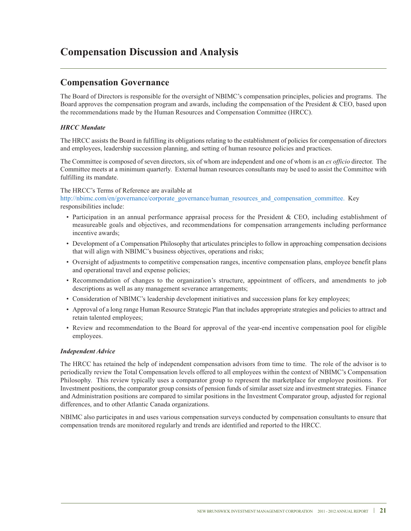### **Compensation Discussion and Analysis**

### **Compensation Governance**

The Board of Directors is responsible for the oversight of NBIMC's compensation principles, policies and programs. The Board approves the compensation program and awards, including the compensation of the President & CEO, based upon the recommendations made by the Human Resources and Compensation Committee (HRCC).

#### *HRCC Mandate*

The HRCC assists the Board in fulfilling its obligations relating to the establishment of policies for compensation of directors and employees, leadership succession planning, and setting of human resource policies and practices.

The Committee is composed of seven directors, six of whom are independent and one of whom is an *ex officio* director. The Committee meets at a minimum quarterly. External human resources consultants may be used to assist the Committee with fulfilling its mandate.

#### The HRCC's Terms of Reference are available at

http://nbimc.com/en/governance/corporate\_governance/human\_resources\_and\_compensation\_committee. Key responsibilities include:

- Participation in an annual performance appraisal process for the President & CEO, including establishment of measureable goals and objectives, and recommendations for compensation arrangements including performance incentive awards;
- Development of a Compensation Philosophy that articulates principles to follow in approaching compensation decisions that will align with NBIMC's business objectives, operations and risks;
- Oversight of adjustments to competitive compensation ranges, incentive compensation plans, employee benefit plans and operational travel and expense policies;
- Recommendation of changes to the organization's structure, appointment of officers, and amendments to job descriptions as well as any management severance arrangements;
- Consideration of NBIMC's leadership development initiatives and succession plans for key employees;
- Approval of a long range Human Resource Strategic Plan that includes appropriate strategies and policies to attract and retain talented employees;
- Review and recommendation to the Board for approval of the year-end incentive compensation pool for eligible employees.

#### *Independent Advice*

The HRCC has retained the help of independent compensation advisors from time to time. The role of the advisor is to periodically review the Total Compensation levels offered to all employees within the context of NBIMC's Compensation Philosophy. This review typically uses a comparator group to represent the marketplace for employee positions. For Investment positions, the comparator group consists of pension funds of similar asset size and investment strategies. Finance and Administration positions are compared to similar positions in the Investment Comparator group, adjusted for regional differences, and to other Atlantic Canada organizations.

NBIMC also participates in and uses various compensation surveys conducted by compensation consultants to ensure that compensation trends are monitored regularly and trends are identified and reported to the HRCC.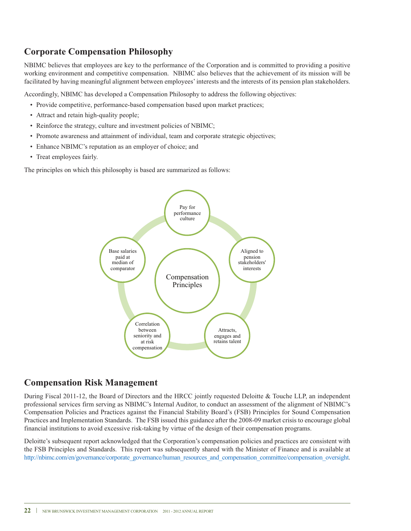### **Corporate Compensation Philosophy**

NBIMC believes that employees are key to the performance of the Corporation and is committed to providing a positive working environment and competitive compensation. NBIMC also believes that the achievement of its mission will be facilitated by having meaningful alignment between employees'interests and the interests of its pension plan stakeholders.

Accordingly, NBIMC has developed a Compensation Philosophy to address the following objectives:

- Provide competitive, performance-based compensation based upon market practices;
- Attract and retain high-quality people;
- Reinforce the strategy, culture and investment policies of NBIMC;
- Promote awareness and attainment of individual, team and corporate strategic objectives;
- Enhance NBIMC's reputation as an employer of choice; and
- Treat employees fairly.

The principles on which this philosophy is based are summarized as follows:



### **Compensation Risk Management**

During Fiscal 2011-12, the Board of Directors and the HRCC jointly requested Deloitte & Touche LLP, an independent professional services firm serving as NBIMC's Internal Auditor, to conduct an assessment of the alignment of NBIMC's Compensation Policies and Practices against the Financial Stability Board's (FSB) Principles for Sound Compensation Practices and Implementation Standards. The FSB issued this guidance after the 2008-09 market crisis to encourage global financial institutions to avoid excessive risk-taking by virtue of the design of their compensation programs.

Deloitte's subsequent report acknowledged that the Corporation's compensation policies and practices are consistent with the FSB Principles and Standards. This report was subsequently shared with the Minister of Finance and is available at http://nbimc.com/en/governance/corporate\_governance/human\_resources\_and\_compensation\_committee/compensation\_oversight.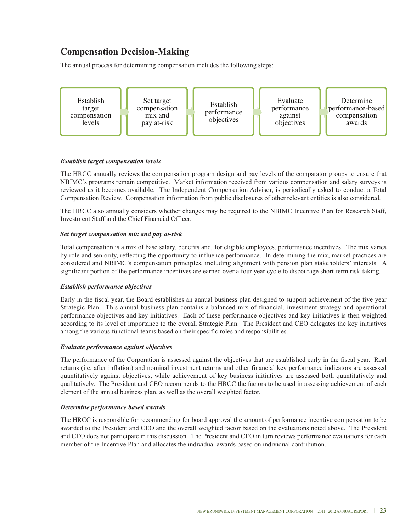### **Compensation Decision-Making**

The annual process for determining compensation includes the following steps:



#### *Establish target compensation levels*

The HRCC annually reviews the compensation program design and pay levels of the comparator groups to ensure that NBIMC's programs remain competitive. Market information received from various compensation and salary surveys is reviewed as it becomes available. The Independent Compensation Advisor, is periodically asked to conduct a Total Compensation Review. Compensation information from public disclosures of other relevant entities is also considered.

The HRCC also annually considers whether changes may be required to the NBIMC Incentive Plan for Research Staff, Investment Staff and the Chief Financial Officer.

#### *Set target compensation mix and pay at-risk*

Total compensation is a mix of base salary, benefits and, for eligible employees, performance incentives. The mix varies by role and seniority, reflecting the opportunity to influence performance. In determining the mix, market practices are considered and NBIMC's compensation principles, including alignment with pension plan stakeholders' interests. A significant portion of the performance incentives are earned over a four year cycle to discourage short-term risk-taking.

#### *Establish performance objectives*

Early in the fiscal year, the Board establishes an annual business plan designed to support achievement of the five year Strategic Plan. This annual business plan contains a balanced mix of financial, investment strategy and operational performance objectives and key initiatives. Each of these performance objectives and key initiatives is then weighted according to its level of importance to the overall Strategic Plan. The President and CEO delegates the key initiatives among the various functional teams based on their specific roles and responsibilities.

#### *Evaluate performance against objectives*

The performance of the Corporation is assessed against the objectives that are established early in the fiscal year. Real returns (i.e. after inflation) and nominal investment returns and other financial key performance indicators are assessed quantitatively against objectives, while achievement of key business initiatives are assessed both quantitatively and qualitatively. The President and CEO recommends to the HRCC the factors to be used in assessing achievement of each element of the annual business plan, as well as the overall weighted factor.

#### *Determine performance based awards*

The HRCC is responsible for recommending for board approval the amount of performance incentive compensation to be awarded to the President and CEO and the overall weighted factor based on the evaluations noted above. The President and CEO does not participate in this discussion. The President and CEO in turn reviews performance evaluations for each member of the Incentive Plan and allocates the individual awards based on individual contribution.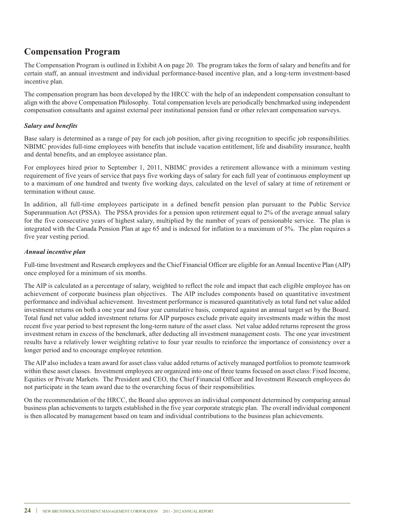### **Compensation Program**

The Compensation Program is outlined in Exhibit A on page 20. The program takes the form of salary and benefits and for certain staff, an annual investment and individual performance-based incentive plan, and a long-term investment-based incentive plan.

The compensation program has been developed by the HRCC with the help of an independent compensation consultant to align with the above Compensation Philosophy. Total compensation levels are periodically benchmarked using independent compensation consultants and against external peer institutional pension fund or other relevant compensation surveys.

#### *Salary and benefits*

Base salary is determined as a range of pay for each job position, after giving recognition to specific job responsibilities. NBIMC provides full-time employees with benefits that include vacation entitlement, life and disability insurance, health and dental benefits, and an employee assistance plan.

For employees hired prior to September 1, 2011, NBIMC provides a retirement allowance with a minimum vesting requirement of five years of service that pays five working days of salary for each full year of continuous employment up to a maximum of one hundred and twenty five working days, calculated on the level of salary at time of retirement or termination without cause.

In addition, all full-time employees participate in a defined benefit pension plan pursuant to the Public Service Superannuation Act (PSSA). The PSSA provides for a pension upon retirement equal to 2% of the average annual salary for the five consecutive years of highest salary, multiplied by the number of years of pensionable service. The plan is integrated with the Canada Pension Plan at age 65 and is indexed for inflation to a maximum of 5%. The plan requires a five year vesting period.

#### *Annual incentive plan*

Full-time Investment and Research employees and the Chief Financial Officer are eligible for an Annual Incentive Plan (AIP) once employed for a minimum of six months.

The AIP is calculated as a percentage of salary, weighted to reflect the role and impact that each eligible employee has on achievement of corporate business plan objectives. The AIP includes components based on quantitative investment performance and individual achievement. Investment performance is measured quantitatively as total fund net value added investment returns on both a one year and four year cumulative basis, compared against an annual target set by the Board. Total fund net value added investment returns for AIP purposes exclude private equity investments made within the most recent five year period to best represent the long-term nature of the asset class. Net value added returns represent the gross investment return in excess of the benchmark, after deducting all investment management costs. The one year investment results have a relatively lower weighting relative to four year results to reinforce the importance of consistency over a longer period and to encourage employee retention.

The AIP also includes a team award for asset class value added returns of actively managed portfolios to promote teamwork within these asset classes. Investment employees are organized into one of three teams focused on asset class: Fixed Income, Equities or Private Markets. The President and CEO, the Chief Financial Officer and Investment Research employees do not participate in the team award due to the overarching focus of their responsibilities.

On the recommendation of the HRCC, the Board also approves an individual component determined by comparing annual business plan achievements to targets established in the five year corporate strategic plan. The overall individual component is then allocated by management based on team and individual contributions to the business plan achievements.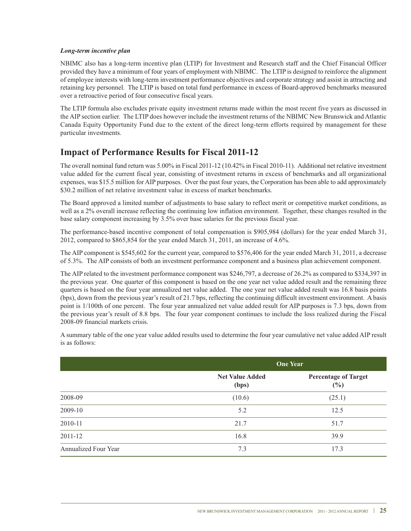#### *Long-term incentive plan*

NBIMC also has a long-term incentive plan (LTIP) for Investment and Research staff and the Chief Financial Officer provided they have a minimum of four years of employment with NBIMC. The LTIP is designed to reinforce the alignment of employee interests with long-term investment performance objectives and corporate strategy and assist in attracting and retaining key personnel. The LTIP is based on total fund performance in excess of Board-approved benchmarks measured over a retroactive period of four consecutive fiscal years.

The LTIP formula also excludes private equity investment returns made within the most recent five years as discussed in the AIP section earlier. The LTIP does however include the investment returns of the NBIMC New Brunswick and Atlantic Canada Equity Opportunity Fund due to the extent of the direct long-term efforts required by management for these particular investments.

### **Impact of Performance Results for Fiscal 2011-12**

The overall nominal fund return was 5.00% in Fiscal 2011-12 (10.42% in Fiscal 2010-11). Additional net relative investment value added for the current fiscal year, consisting of investment returns in excess of benchmarks and all organizational expenses, was \$15.5 million for AIP purposes. Over the past four years, the Corporation has been able to add approximately \$30.2 million of net relative investment value in excess of market benchmarks.

The Board approved a limited number of adjustments to base salary to reflect merit or competitive market conditions, as well as a 2% overall increase reflecting the continuing low inflation environment. Together, these changes resulted in the base salary component increasing by 3.5% over base salaries for the previous fiscal year.

The performance-based incentive component of total compensation is \$905,984 (dollars) for the year ended March 31, 2012, compared to \$865,854 for the year ended March 31, 2011, an increase of 4.6%.

The AIP component is \$545,602 for the current year, compared to \$576,406 for the year ended March 31, 2011, a decrease of 5.3%. The AIP consists of both an investment performance component and a business plan achievement component.

The AIP related to the investment performance component was \$246,797, a decrease of 26.2% as compared to \$334,397 in the previous year. One quarter of this component is based on the one year net value added result and the remaining three quarters is based on the four year annualized net value added. The one year net value added result was 16.8 basis points (bps), down from the previous year's result of 21.7 bps, reflecting the continuing difficult investment environment. A basis point is 1/100th of one percent. The four year annualized net value added result for AIP purposes is 7.3 bps, down from the previous year's result of 8.8 bps. The four year component continues to include the loss realized during the Fiscal 2008-09 financial markets crisis.

A summary table of the one year value added results used to determine the four year cumulative net value added AIP result is as follows:

|                      | <b>One Year</b>                 |                                       |
|----------------------|---------------------------------|---------------------------------------|
|                      | <b>Net Value Added</b><br>(bps) | <b>Percentage of Target</b><br>$(\%)$ |
| 2008-09              | (10.6)                          | (25.1)                                |
| 2009-10              | 5.2                             | 12.5                                  |
| 2010-11              | 21.7                            | 51.7                                  |
| 2011-12              | 16.8                            | 39.9                                  |
| Annualized Four Year | 7.3                             | 17.3                                  |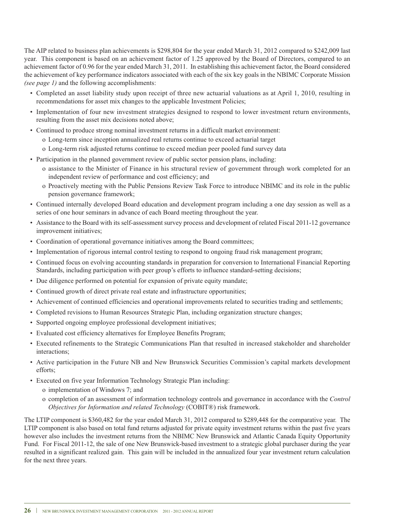The AIP related to business plan achievements is \$298,804 for the year ended March 31, 2012 compared to \$242,009 last year. This component is based on an achievement factor of 1.25 approved by the Board of Directors, compared to an achievement factor of 0.96 for the year ended March 31, 2011. In establishing this achievement factor, the Board considered the achievement of key performance indicators associated with each of the six key goals in the NBIMC Corporate Mission *(see page 1)* and the following accomplishments:

- Completed an asset liability study upon receipt of three new actuarial valuations as at April 1, 2010, resulting in recommendations for asset mix changes to the applicable Investment Policies;
- Implementation of four new investment strategies designed to respond to lower investment return environments, resulting from the asset mix decisions noted above;
- Continued to produce strong nominal investment returns in a difficult market environment:
	- o Long-term since inception annualized real returns continue to exceed actuarial target
	- o Long-term risk adjusted returns continue to exceed median peer pooled fund survey data
- Participation in the planned government review of public sector pension plans, including:
	- o assistance to the Minister of Finance in his structural review of government through work completed for an independent review of performance and cost efficiency; and
	- o Proactively meeting with the Public Pensions Review Task Force to introduce NBIMC and its role in the public pension governance framework;
- Continued internally developed Board education and development program including a one day session as well as a series of one hour seminars in advance of each Board meeting throughout the year.
- Assistance to the Board with its self-assessment survey process and development of related Fiscal 2011-12 governance improvement initiatives;
- Coordination of operational governance initiatives among the Board committees;
- Implementation of rigorous internal control testing to respond to ongoing fraud risk management program;
- Continued focus on evolving accounting standards in preparation for conversion to International Financial Reporting Standards, including participation with peer group's efforts to influence standard-setting decisions;
- Due diligence performed on potential for expansion of private equity mandate;
- Continued growth of direct private real estate and infrastructure opportunities;
- Achievement of continued efficiencies and operational improvements related to securities trading and settlements;
- Completed revisions to Human Resources Strategic Plan, including organization structure changes;
- Supported ongoing employee professional development initiatives;
- Evaluated cost efficiency alternatives for Employee Benefits Program;
- Executed refinements to the Strategic Communications Plan that resulted in increased stakeholder and shareholder interactions;
- Active participation in the Future NB and New Brunswick Securities Commission's capital markets development efforts;
- Executed on five year Information Technology Strategic Plan including:
	- o implementation of Windows 7; and
	- o completion of an assessment of information technology controls and governance in accordance with the *Control Objectives for Information and related Technology* (COBIT®) risk framework.

The LTIP component is \$360,482 for the year ended March 31, 2012 compared to \$289,448 for the comparative year. The LTIP component is also based on total fund returns adjusted for private equity investment returns within the past five years however also includes the investment returns from the NBIMC New Brunswick and Atlantic Canada Equity Opportunity Fund. For Fiscal 2011-12, the sale of one New Brunswick-based investment to a strategic global purchaser during the year resulted in a significant realized gain. This gain will be included in the annualized four year investment return calculation for the next three years.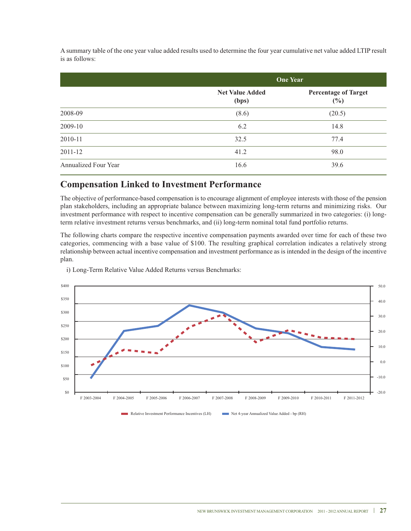A summary table of the one year value added results used to determine the four year cumulative net value added LTIP result is as follows:

|                      | <b>One Year</b>                 |                                       |
|----------------------|---------------------------------|---------------------------------------|
|                      | <b>Net Value Added</b><br>(bps) | <b>Percentage of Target</b><br>$(\%)$ |
| 2008-09              | (8.6)                           | (20.5)                                |
| 2009-10              | 6.2                             | 14.8                                  |
| 2010-11              | 32.5                            | 77.4                                  |
| 2011-12              | 41.2                            | 98.0                                  |
| Annualized Four Year | 16.6                            | 39.6                                  |

#### **Compensation Linked to Investment Performance**

The objective of performance-based compensation is to encourage alignment of employee interests with those of the pension plan stakeholders, including an appropriate balance between maximizing long-term returns and minimizing risks. Our investment performance with respect to incentive compensation can be generally summarized in two categories: (i) longterm relative investment returns versus benchmarks, and (ii) long-term nominal total fund portfolio returns.

The following charts compare the respective incentive compensation payments awarded over time for each of these two categories, commencing with a base value of \$100. The resulting graphical correlation indicates a relatively strong relationship between actual incentive compensation and investment performance as is intended in the design of the incentive plan.

i) Long-Term Relative Value Added Returns versus Benchmarks:



Relative Investment Performance Incentives (LH) Net 4-year Annualized Value Added - bp (RH)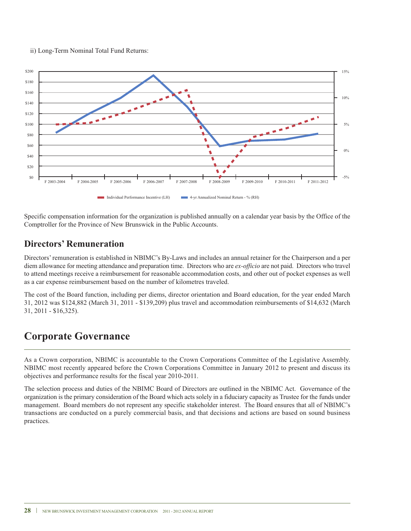



Specific compensation information for the organization is published annually on a calendar year basis by the Office of the Comptroller for the Province of New Brunswick in the Public Accounts.

### **Directors' Remuneration**

Directors'remuneration is established in NBIMC's By-Laws and includes an annual retainer for the Chairperson and a per diem allowance for meeting attendance and preparation time. Directors who are *ex-officio* are not paid. Directors who travel to attend meetings receive a reimbursement for reasonable accommodation costs, and other out of pocket expenses as well as a car expense reimbursement based on the number of kilometres traveled.

The cost of the Board function, including per diems, director orientation and Board education, for the year ended March 31, 2012 was \$124,882 (March 31, 2011 - \$139,209) plus travel and accommodation reimbursements of \$14,632 (March 31, 2011 - \$16,325).

### **Corporate Governance**

As a Crown corporation, NBIMC is accountable to the Crown Corporations Committee of the Legislative Assembly. NBIMC most recently appeared before the Crown Corporations Committee in January 2012 to present and discuss its objectives and performance results for the fiscal year 2010-2011.

The selection process and duties of the NBIMC Board of Directors are outlined in the NBIMC Act. Governance of the organization is the primary consideration of the Board which acts solely in a fiduciary capacity as Trustee for the funds under management. Board members do not represent any specific stakeholder interest. The Board ensures that all of NBIMC's transactions are conducted on a purely commercial basis, and that decisions and actions are based on sound business practices.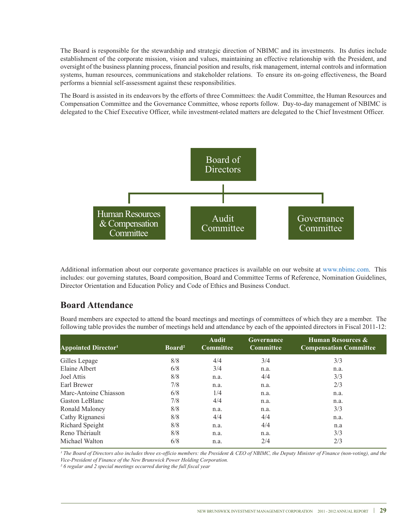The Board is responsible for the stewardship and strategic direction of NBIMC and its investments. Its duties include establishment of the corporate mission, vision and values, maintaining an effective relationship with the President, and oversight of the business planning process, financial position and results, risk management, internal controls and information systems, human resources, communications and stakeholder relations. To ensure its on-going effectiveness, the Board performs a biennial self-assessment against these responsibilities.

The Board is assisted in its endeavors by the efforts of three Committees: the Audit Committee, the Human Resources and Compensation Committee and the Governance Committee, whose reports follow. Day-to-day management of NBIMC is delegated to the Chief Executive Officer, while investment-related matters are delegated to the Chief Investment Officer.



Additional information about our corporate governance practices is available on our website at www.nbimc.com. This includes: our governing statutes, Board composition, Board and Committee Terms of Reference, Nomination Guidelines, Director Orientation and Education Policy and Code of Ethics and Business Conduct.

### **Board Attendance**

Board members are expected to attend the board meetings and meetings of committees of which they are a member. The following table provides the number of meetings held and attendance by each of the appointed directors in Fiscal 2011-12:

| <b>Appointed Director<sup>1</sup></b> | Board <sup>2</sup> | Audit<br><b>Committee</b> | Governance<br><b>Committee</b> | <b>Human Resources &amp;</b><br><b>Compensation Committee</b> |
|---------------------------------------|--------------------|---------------------------|--------------------------------|---------------------------------------------------------------|
| Gilles Lepage                         | 8/8                | 4/4                       | 3/4                            | 3/3                                                           |
| Elaine Albert                         | 6/8                | 3/4                       | n.a.                           | n.a.                                                          |
| Joel Attis                            | 8/8                | n.a.                      | 4/4                            | 3/3                                                           |
| Earl Brewer                           | 7/8                | n.a.                      | n.a.                           | 2/3                                                           |
| Marc-Antoine Chiasson                 | 6/8                | 1/4                       | n.a.                           | n.a.                                                          |
| Gaston LeBlanc                        | 7/8                | 4/4                       | n.a.                           | n.a.                                                          |
| Ronald Maloney                        | 8/8                | n.a.                      | n.a.                           | 3/3                                                           |
| Cathy Rignanesi                       | 8/8                | 4/4                       | 4/4                            | n.a.                                                          |
| Richard Speight                       | 8/8                | n.a.                      | 4/4                            | n.a                                                           |
| Reno Thériault                        | 8/8                | n.a.                      | n.a.                           | 3/3                                                           |
| Michael Walton                        | 6/8                | n.a.                      | 2/4                            | 2/3                                                           |

<sup>1</sup> The Board of Directors also includes three ex-officio members: the President & CEO of NBIMC, the Deputy Minister of Finance (non-voting), and the *Vice-President of Finance of the New Brunswick Power Holding Corporation.*

*² 6 regular and 2 special meetings occurred during the full fiscal year*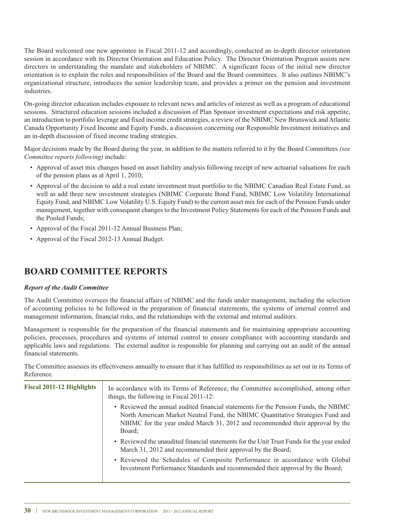The Board welcomed one new appointee in Fiscal 2011-12 and accordingly, conducted an in-depth director orientation session in accordance with its Director Orientation and Education Policy. The Director Orientation Program assists new directors in understanding the mandate and stakeholders of NBIMC. A significant focus of the initial new director orientation is to explain the roles and responsibilities of the Board and the Board committees. It also outlines NBIMC's organizational structure, introduces the senior leadership team, and provides a primer on the pension and investment industries.

On-going director education includes exposure to relevant news and articles of interest as well as a program of educational sessions. Structured education sessions included a discussion of Plan Sponsor investment expectations and risk appetite, an introduction to portfolio leverage and fixed income credit strategies, a review of the NBIMC New Brunswick and Atlantic Canada Opportunity Fixed Income and Equity Funds, a discussion concerning our Responsible Investment initiatives and an in-depth discussion of fixed income trading strategies.

Major decisions made by the Board during the year, in addition to the matters referred to it by the Board Committees *(see Committee reports following)* include:

- Approval of asset mix changes based on asset liability analysis following receipt of new actuarial valuations for each of the pension plans as at April 1, 2010;
- Approval of the decision to add a real estate investment trust portfolio to the NBIMC Canadian Real Estate Fund, as well as add three new investment strategies (NBIMC Corporate Bond Fund, NBIMC Low Volatility International Equity Fund, and NBIMC Low Volatility U.S. Equity Fund) to the current asset mix for each of the Pension Funds under management, together with consequent changes to the Investment Policy Statements for each of the Pension Funds and the Pooled Funds;
- Approval of the Fiscal 2011-12 Annual Business Plan;
- Approval of the Fiscal 2012-13 Annual Budget.

### **BOARD COMMITTEE REPORTS**

#### *Report of the Audit Committee*

The Audit Committee oversees the financial affairs of NBIMC and the funds under management, including the selection of accounting policies to be followed in the preparation of financial statements, the systems of internal control and management information, financial risks, and the relationships with the external and internal auditors.

Management is responsible for the preparation of the financial statements and for maintaining appropriate accounting policies, processes, procedures and systems of internal control to ensure compliance with accounting standards and applicable laws and regulations. The external auditor is responsible for planning and carrying out an audit of the annual financial statements.

The Committee assesses its effectiveness annually to ensure that it has fulfilled its responsibilities as set out in its Terms of Reference.

| <b>Fiscal 2011-12 Highlights</b> | In accordance with its Terms of Reference, the Committee accomplished, among other<br>things, the following in Fiscal 2011-12:                                                                                                                                   |
|----------------------------------|------------------------------------------------------------------------------------------------------------------------------------------------------------------------------------------------------------------------------------------------------------------|
|                                  | • Reviewed the annual audited financial statements for the Pension Funds, the NBIMC<br>North American Market Neutral Fund, the NBIMC Quantitative Strategies Fund and<br>NBIMC for the year ended March 31, 2012 and recommended their approval by the<br>Board: |
|                                  | • Reviewed the unaudited financial statements for the Unit Trust Funds for the year ended<br>March 31, 2012 and recommended their approval by the Board;                                                                                                         |
|                                  | • Reviewed the Schedules of Composite Performance in accordance with Global<br>Investment Performance Standards and recommended their approval by the Board;                                                                                                     |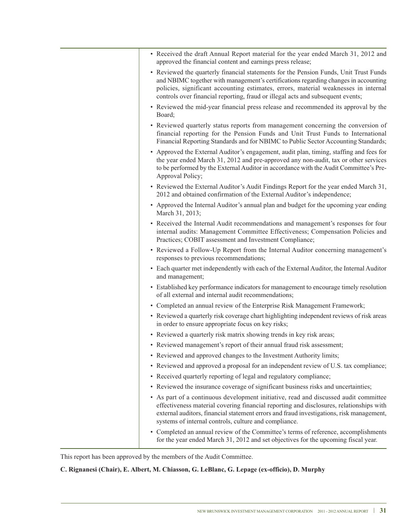| • Received the draft Annual Report material for the year ended March 31, 2012 and<br>approved the financial content and earnings press release;                                                                                                                                                                                                        |
|--------------------------------------------------------------------------------------------------------------------------------------------------------------------------------------------------------------------------------------------------------------------------------------------------------------------------------------------------------|
| • Reviewed the quarterly financial statements for the Pension Funds, Unit Trust Funds<br>and NBIMC together with management's certifications regarding changes in accounting<br>policies, significant accounting estimates, errors, material weaknesses in internal<br>controls over financial reporting, fraud or illegal acts and subsequent events; |
| • Reviewed the mid-year financial press release and recommended its approval by the<br>Board;                                                                                                                                                                                                                                                          |
| • Reviewed quarterly status reports from management concerning the conversion of<br>financial reporting for the Pension Funds and Unit Trust Funds to International<br>Financial Reporting Standards and for NBIMC to Public Sector Accounting Standards;                                                                                              |
| • Approved the External Auditor's engagement, audit plan, timing, staffing and fees for<br>the year ended March 31, 2012 and pre-approved any non-audit, tax or other services<br>to be performed by the External Auditor in accordance with the Audit Committee's Pre-<br>Approval Policy;                                                            |
| • Reviewed the External Auditor's Audit Findings Report for the year ended March 31,<br>2012 and obtained confirmation of the External Auditor's independence;                                                                                                                                                                                         |
| • Approved the Internal Auditor's annual plan and budget for the upcoming year ending<br>March 31, 2013;                                                                                                                                                                                                                                               |
| • Received the Internal Audit recommendations and management's responses for four<br>internal audits: Management Committee Effectiveness; Compensation Policies and<br>Practices; COBIT assessment and Investment Compliance;                                                                                                                          |
| • Reviewed a Follow-Up Report from the Internal Auditor concerning management's<br>responses to previous recommendations;                                                                                                                                                                                                                              |
| • Each quarter met independently with each of the External Auditor, the Internal Auditor<br>and management;                                                                                                                                                                                                                                            |
| • Established key performance indicators for management to encourage timely resolution<br>of all external and internal audit recommendations;                                                                                                                                                                                                          |
| • Completed an annual review of the Enterprise Risk Management Framework;                                                                                                                                                                                                                                                                              |
| • Reviewed a quarterly risk coverage chart highlighting independent reviews of risk areas<br>in order to ensure appropriate focus on key risks;                                                                                                                                                                                                        |
| • Reviewed a quarterly risk matrix showing trends in key risk areas;                                                                                                                                                                                                                                                                                   |
| • Reviewed management's report of their annual fraud risk assessment;                                                                                                                                                                                                                                                                                  |
| • Reviewed and approved changes to the Investment Authority limits;                                                                                                                                                                                                                                                                                    |
| • Reviewed and approved a proposal for an independent review of U.S. tax compliance;                                                                                                                                                                                                                                                                   |
| • Received quarterly reporting of legal and regulatory compliance;                                                                                                                                                                                                                                                                                     |
| • Reviewed the insurance coverage of significant business risks and uncertainties;                                                                                                                                                                                                                                                                     |
| • As part of a continuous development initiative, read and discussed audit committee<br>effectiveness material covering financial reporting and disclosures, relationships with<br>external auditors, financial statement errors and fraud investigations, risk management,<br>systems of internal controls, culture and compliance.                   |
| • Completed an annual review of the Committee's terms of reference, accomplishments<br>for the year ended March 31, 2012 and set objectives for the upcoming fiscal year.                                                                                                                                                                              |

This report has been approved by the members of the Audit Committee.

**C. Rignanesi (Chair), E. Albert, M. Chiasson, G. LeBlanc, G. Lepage (ex-officio), D. Murphy**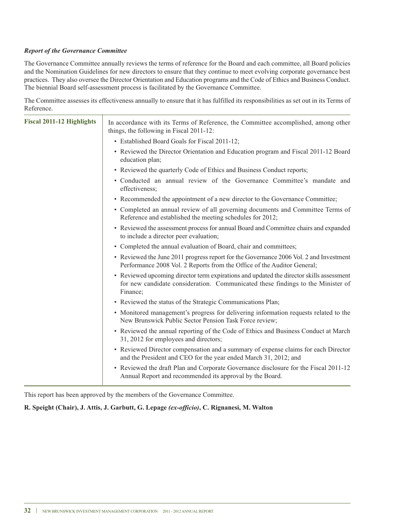#### *Report of the Governance Committee*

The Governance Committee annually reviews the terms of reference for the Board and each committee, all Board policies and the Nomination Guidelines for new directors to ensure that they continue to meet evolving corporate governance best practices. They also oversee the Director Orientation and Education programs and the Code of Ethics and Business Conduct. The biennial Board self-assessment process is facilitated by the Governance Committee.

The Committee assesses its effectiveness annually to ensure that it has fulfilled its responsibilities as set out in its Terms of Reference.

| <b>Fiscal 2011-12 Highlights</b> | In accordance with its Terms of Reference, the Committee accomplished, among other<br>things, the following in Fiscal 2011-12:                                                          |
|----------------------------------|-----------------------------------------------------------------------------------------------------------------------------------------------------------------------------------------|
|                                  | • Established Board Goals for Fiscal 2011-12;                                                                                                                                           |
|                                  | • Reviewed the Director Orientation and Education program and Fiscal 2011-12 Board<br>education plan;                                                                                   |
|                                  | • Reviewed the quarterly Code of Ethics and Business Conduct reports;                                                                                                                   |
|                                  | • Conducted an annual review of the Governance Committee's mandate and<br>effectiveness;                                                                                                |
|                                  | • Recommended the appointment of a new director to the Governance Committee;                                                                                                            |
|                                  | • Completed an annual review of all governing documents and Committee Terms of<br>Reference and established the meeting schedules for 2012;                                             |
|                                  | • Reviewed the assessment process for annual Board and Committee chairs and expanded<br>to include a director peer evaluation;                                                          |
|                                  | • Completed the annual evaluation of Board, chair and committees;                                                                                                                       |
|                                  | • Reviewed the June 2011 progress report for the Governance 2006 Vol. 2 and Investment<br>Performance 2008 Vol. 2 Reports from the Office of the Auditor General;                       |
|                                  | • Reviewed upcoming director term expirations and updated the director skills assessment<br>for new candidate consideration. Communicated these findings to the Minister of<br>Finance; |
|                                  | • Reviewed the status of the Strategic Communications Plan;                                                                                                                             |
|                                  | • Monitored management's progress for delivering information requests related to the<br>New Brunswick Public Sector Pension Task Force review;                                          |
|                                  | • Reviewed the annual reporting of the Code of Ethics and Business Conduct at March<br>31, 2012 for employees and directors;                                                            |
|                                  | • Reviewed Director compensation and a summary of expense claims for each Director<br>and the President and CEO for the year ended March 31, 2012; and                                  |
|                                  | • Reviewed the draft Plan and Corporate Governance disclosure for the Fiscal 2011-12<br>Annual Report and recommended its approval by the Board.                                        |
|                                  |                                                                                                                                                                                         |

This report has been approved by the members of the Governance Committee.

**R. Speight (Chair), J. Attis, J. Garbutt, G. Lepage** *(ex-officio)***, C. Rignanesi, M. Walton**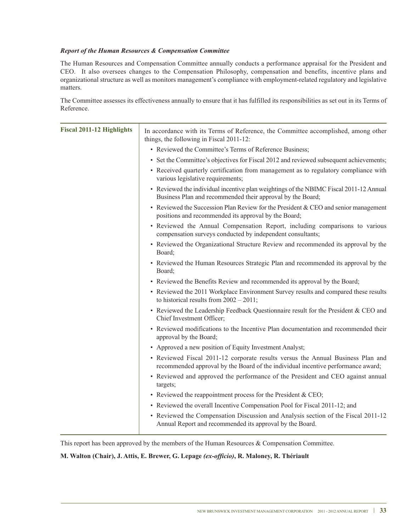#### *Report of the Human Resources & Compensation Committee*

The Human Resources and Compensation Committee annually conducts a performance appraisal for the President and CEO. It also oversees changes to the Compensation Philosophy, compensation and benefits, incentive plans and organizational structure as well as monitors management's compliance with employment-related regulatory and legislative matters.

The Committee assesses its effectiveness annually to ensure that it has fulfilled its responsibilities as set out in its Terms of Reference.

| <b>Fiscal 2011-12 Highlights</b> | In accordance with its Terms of Reference, the Committee accomplished, among other<br>things, the following in Fiscal 2011-12:                                      |
|----------------------------------|---------------------------------------------------------------------------------------------------------------------------------------------------------------------|
|                                  | • Reviewed the Committee's Terms of Reference Business;                                                                                                             |
|                                  | • Set the Committee's objectives for Fiscal 2012 and reviewed subsequent achievements;                                                                              |
|                                  | • Received quarterly certification from management as to regulatory compliance with<br>various legislative requirements;                                            |
|                                  | • Reviewed the individual incentive plan weightings of the NBIMC Fiscal 2011-12 Annual<br>Business Plan and recommended their approval by the Board;                |
|                                  | • Reviewed the Succession Plan Review for the President & CEO and senior management<br>positions and recommended its approval by the Board;                         |
|                                  | • Reviewed the Annual Compensation Report, including comparisons to various<br>compensation surveys conducted by independent consultants;                           |
|                                  | • Reviewed the Organizational Structure Review and recommended its approval by the<br>Board;                                                                        |
|                                  | • Reviewed the Human Resources Strategic Plan and recommended its approval by the<br>Board;                                                                         |
|                                  | • Reviewed the Benefits Review and recommended its approval by the Board;                                                                                           |
|                                  | • Reviewed the 2011 Workplace Environment Survey results and compared these results<br>to historical results from $2002 - 2011$ ;                                   |
|                                  | • Reviewed the Leadership Feedback Questionnaire result for the President & CEO and<br>Chief Investment Officer;                                                    |
|                                  | • Reviewed modifications to the Incentive Plan documentation and recommended their<br>approval by the Board;                                                        |
|                                  | • Approved a new position of Equity Investment Analyst;                                                                                                             |
|                                  | • Reviewed Fiscal 2011-12 corporate results versus the Annual Business Plan and<br>recommended approval by the Board of the individual incentive performance award; |
|                                  | • Reviewed and approved the performance of the President and CEO against annual<br>targets;                                                                         |
|                                  | • Reviewed the reappointment process for the President & CEO;                                                                                                       |
|                                  | • Reviewed the overall Incentive Compensation Pool for Fiscal 2011-12; and                                                                                          |
|                                  | • Reviewed the Compensation Discussion and Analysis section of the Fiscal 2011-12<br>Annual Report and recommended its approval by the Board.                       |
|                                  |                                                                                                                                                                     |

This report has been approved by the members of the Human Resources  $&$  Compensation Committee.

#### **M. Walton (Chair), J. Attis, E. Brewer, G. Lepage** *(ex-officio)***, R. Maloney, R. Thériault**